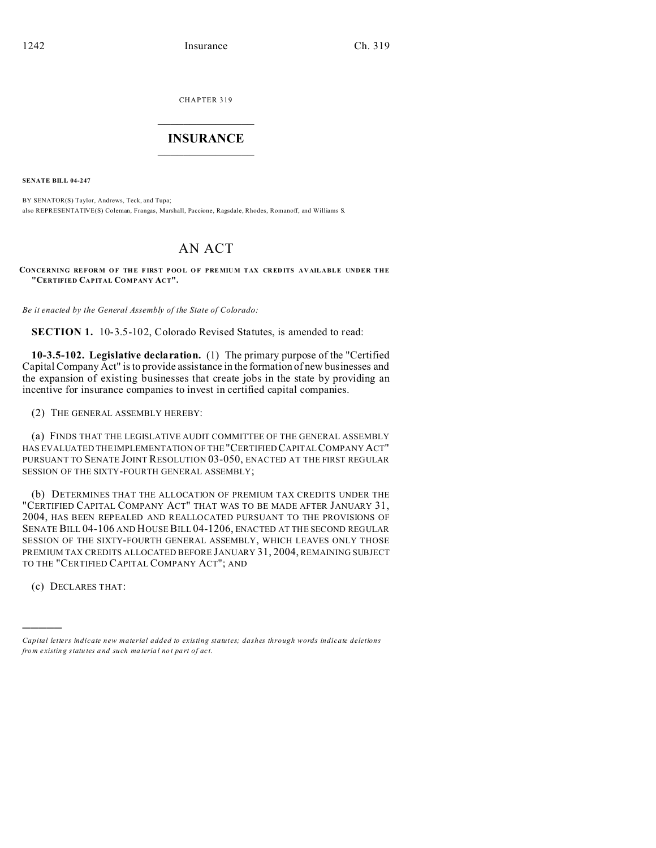CHAPTER 319  $\overline{\phantom{a}}$  , where  $\overline{\phantom{a}}$ 

### **INSURANCE**  $\_$   $\_$   $\_$   $\_$   $\_$   $\_$   $\_$   $\_$

**SENATE BILL 04-247**

BY SENATOR(S) Taylor, Andrews, Teck, and Tupa; also REPRESENTATIVE(S) Coleman, Frangas, Marshall, Paccione, Ragsdale, Rhodes, Romanoff, and Williams S.

# AN ACT

**CONCERNING REFOR M O F THE F IRST POO L O F PREMIUM TAX CRED ITS AVAILABLE UNDER THE "CERTIFIED CAPITAL COMPANY ACT".**

*Be it enacted by the General Assembly of the State of Colorado:*

**SECTION 1.** 10-3.5-102, Colorado Revised Statutes, is amended to read:

**10-3.5-102. Legislative declaration.** (1) The primary purpose of the "Certified Capital Company Act" is to provide assistance in the formation of new businesses and the expansion of existing businesses that create jobs in the state by providing an incentive for insurance companies to invest in certified capital companies.

(2) THE GENERAL ASSEMBLY HEREBY:

(a) FINDS THAT THE LEGISLATIVE AUDIT COMMITTEE OF THE GENERAL ASSEMBLY HAS EVALUATED THE IMPLEMENTATION OF THE"CERTIFIED CAPITALCOMPANY ACT" PURSUANT TO SENATE JOINT RESOLUTION 03-050, ENACTED AT THE FIRST REGULAR SESSION OF THE SIXTY-FOURTH GENERAL ASSEMBLY;

(b) DETERMINES THAT THE ALLOCATION OF PREMIUM TAX CREDITS UNDER THE "CERTIFIED CAPITAL COMPANY ACT" THAT WAS TO BE MADE AFTER JANUARY 31, 2004, HAS BEEN REPEALED AND REALLOCATED PURSUANT TO THE PROVISIONS OF SENATE BILL 04-106 AND HOUSE BILL 04-1206, ENACTED AT THE SECOND REGULAR SESSION OF THE SIXTY-FOURTH GENERAL ASSEMBLY, WHICH LEAVES ONLY THOSE PREMIUM TAX CREDITS ALLOCATED BEFORE JANUARY 31, 2004, REMAINING SUBJECT TO THE "CERTIFIED CAPITAL COMPANY ACT"; AND

(c) DECLARES THAT:

)))))

*Capital letters indicate new material added to existing statutes; dashes through words indicate deletions from e xistin g statu tes a nd such ma teria l no t pa rt of ac t.*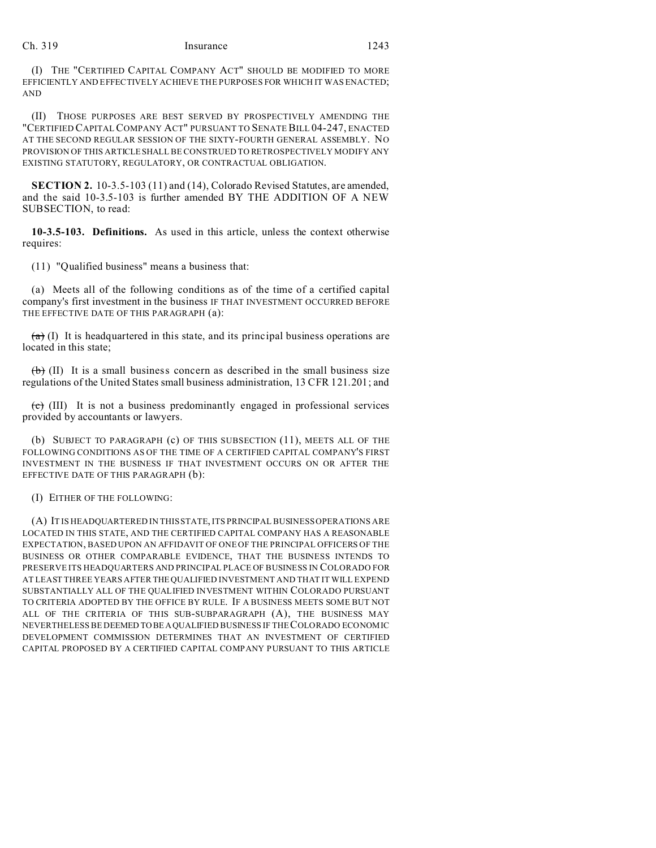## Ch. 319 Insurance 1243

(I) THE "CERTIFIED CAPITAL COMPANY ACT" SHOULD BE MODIFIED TO MORE EFFICIENTLY AND EFFECTIVELY ACHIEVE THE PURPOSES FOR WHICH IT WAS ENACTED; AND

(II) THOSE PURPOSES ARE BEST SERVED BY PROSPECTIVELY AMENDING THE "CERTIFIED CAPITAL COMPANY ACT" PURSUANT TO SENATE BILL 04-247, ENACTED AT THE SECOND REGULAR SESSION OF THE SIXTY-FOURTH GENERAL ASSEMBLY. NO PROVISION OF THIS ARTICLESHALL BE CONSTRUED TO RETROSPECTIVELY MODIFY ANY EXISTING STATUTORY, REGULATORY, OR CONTRACTUAL OBLIGATION.

**SECTION 2.** 10-3.5-103 (11) and (14), Colorado Revised Statutes, are amended, and the said 10-3.5-103 is further amended BY THE ADDITION OF A NEW SUBSECTION, to read:

**10-3.5-103. Definitions.** As used in this article, unless the context otherwise requires:

(11) "Qualified business" means a business that:

(a) Meets all of the following conditions as of the time of a certified capital company's first investment in the business IF THAT INVESTMENT OCCURRED BEFORE THE EFFECTIVE DATE OF THIS PARAGRAPH (a):

 $(a)$  (I) It is headquartered in this state, and its principal business operations are located in this state;

 $\leftrightarrow$  (II) It is a small business concern as described in the small business size regulations of the United States small business administration, 13 CFR 121.201; and

 $(e)$  (III) It is not a business predominantly engaged in professional services provided by accountants or lawyers.

(b) SUBJECT TO PARAGRAPH (c) OF THIS SUBSECTION (11), MEETS ALL OF THE FOLLOWING CONDITIONS AS OF THE TIME OF A CERTIFIED CAPITAL COMPANY'S FIRST INVESTMENT IN THE BUSINESS IF THAT INVESTMENT OCCURS ON OR AFTER THE EFFECTIVE DATE OF THIS PARAGRAPH (b):

#### (I) EITHER OF THE FOLLOWING:

(A) IT IS HEADQUARTERED IN THIS STATE, ITS PRINCIPAL BUSINESS OPERATIONS ARE LOCATED IN THIS STATE, AND THE CERTIFIED CAPITAL COMPANY HAS A REASONABLE EXPECTATION, BASED UPON AN AFFIDAVIT OF ONE OF THE PRINCIPAL OFFICERS OF THE BUSINESS OR OTHER COMPARABLE EVIDENCE, THAT THE BUSINESS INTENDS TO PRESERVE ITS HEADQUARTERS AND PRINCIPAL PLACE OF BUSINESS IN COLORADO FOR AT LEAST THREE YEARS AFTER THE QUALIFIED INVESTMENT AND THAT IT WILL EXPEND SUBSTANTIALLY ALL OF THE QUALIFIED INVESTMENT WITHIN COLORADO PURSUANT TO CRITERIA ADOPTED BY THE OFFICE BY RULE. IF A BUSINESS MEETS SOME BUT NOT ALL OF THE CRITERIA OF THIS SUB-SUBPARAGRAPH (A), THE BUSINESS MAY NEVERTHELESS BE DEEMED TO BEAQUALIFIED BUSINESS IF THE COLORADO ECONOMIC DEVELOPMENT COMMISSION DETERMINES THAT AN INVESTMENT OF CERTIFIED CAPITAL PROPOSED BY A CERTIFIED CAPITAL COMPANY PURSUANT TO THIS ARTICLE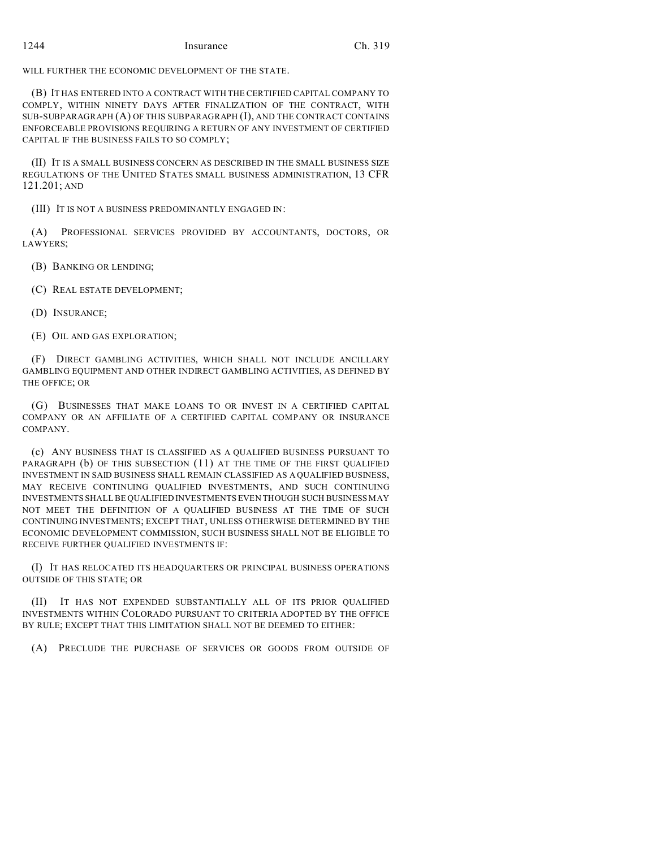WILL FURTHER THE ECONOMIC DEVELOPMENT OF THE STATE.

(B) IT HAS ENTERED INTO A CONTRACT WITH THE CERTIFIED CAPITAL COMPANY TO COMPLY, WITHIN NINETY DAYS AFTER FINALIZATION OF THE CONTRACT, WITH SUB-SUBPARAGRAPH (A) OF THIS SUBPARAGRAPH (I), AND THE CONTRACT CONTAINS ENFORCEABLE PROVISIONS REQUIRING A RETURN OF ANY INVESTMENT OF CERTIFIED CAPITAL IF THE BUSINESS FAILS TO SO COMPLY;

(II) IT IS A SMALL BUSINESS CONCERN AS DESCRIBED IN THE SMALL BUSINESS SIZE REGULATIONS OF THE UNITED STATES SMALL BUSINESS ADMINISTRATION, 13 CFR 121.201; AND

(III) IT IS NOT A BUSINESS PREDOMINANTLY ENGAGED IN:

(A) PROFESSIONAL SERVICES PROVIDED BY ACCOUNTANTS, DOCTORS, OR LAWYERS;

(B) BANKING OR LENDING;

(C) REAL ESTATE DEVELOPMENT;

(D) INSURANCE;

(E) OIL AND GAS EXPLORATION;

(F) DIRECT GAMBLING ACTIVITIES, WHICH SHALL NOT INCLUDE ANCILLARY GAMBLING EQUIPMENT AND OTHER INDIRECT GAMBLING ACTIVITIES, AS DEFINED BY THE OFFICE; OR

(G) BUSINESSES THAT MAKE LOANS TO OR INVEST IN A CERTIFIED CAPITAL COMPANY OR AN AFFILIATE OF A CERTIFIED CAPITAL COMPANY OR INSURANCE COMPANY.

(c) ANY BUSINESS THAT IS CLASSIFIED AS A QUALIFIED BUSINESS PURSUANT TO PARAGRAPH (b) OF THIS SUBSECTION (11) AT THE TIME OF THE FIRST QUALIFIED INVESTMENT IN SAID BUSINESS SHALL REMAIN CLASSIFIED AS A QUALIFIED BUSINESS, MAY RECEIVE CONTINUING QUALIFIED INVESTMENTS, AND SUCH CONTINUING INVESTMENTS SHALL BE QUALIFIED INVESTMENTS EVEN THOUGH SUCH BUSINESS MAY NOT MEET THE DEFINITION OF A QUALIFIED BUSINESS AT THE TIME OF SUCH CONTINUING INVESTMENTS; EXCEPT THAT, UNLESS OTHERWISE DETERMINED BY THE ECONOMIC DEVELOPMENT COMMISSION, SUCH BUSINESS SHALL NOT BE ELIGIBLE TO RECEIVE FURTHER QUALIFIED INVESTMENTS IF:

(I) IT HAS RELOCATED ITS HEADQUARTERS OR PRINCIPAL BUSINESS OPERATIONS OUTSIDE OF THIS STATE; OR

(II) IT HAS NOT EXPENDED SUBSTANTIALLY ALL OF ITS PRIOR QUALIFIED INVESTMENTS WITHIN COLORADO PURSUANT TO CRITERIA ADOPTED BY THE OFFICE BY RULE; EXCEPT THAT THIS LIMITATION SHALL NOT BE DEEMED TO EITHER:

(A) PRECLUDE THE PURCHASE OF SERVICES OR GOODS FROM OUTSIDE OF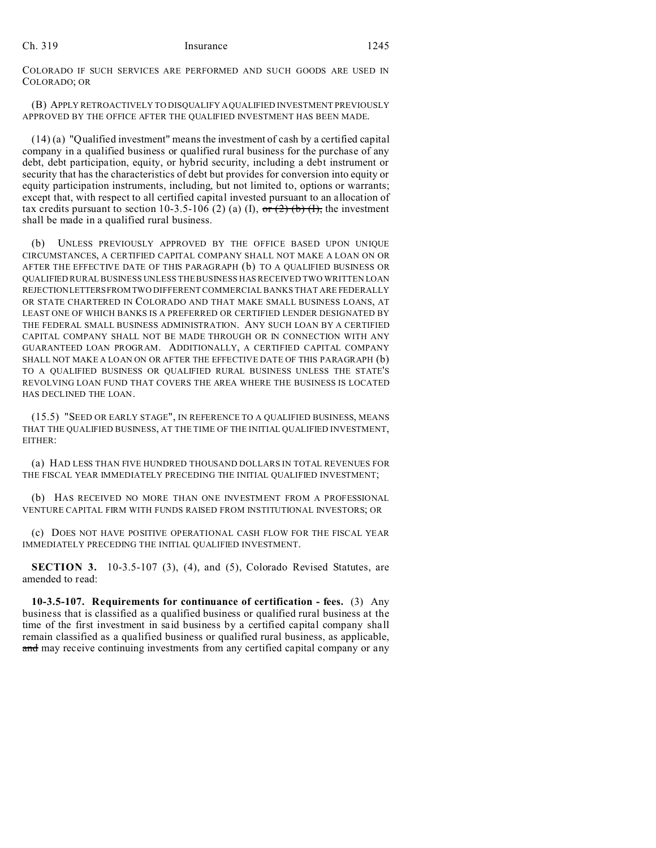COLORADO IF SUCH SERVICES ARE PERFORMED AND SUCH GOODS ARE USED IN COLORADO; OR

(B) APPLY RETROACTIVELY TO DISQUALIFY A QUALIFIED INVESTMENT PREVIOUSLY APPROVED BY THE OFFICE AFTER THE QUALIFIED INVESTMENT HAS BEEN MADE.

(14) (a) "Qualified investment" means the investment of cash by a certified capital company in a qualified business or qualified rural business for the purchase of any debt, debt participation, equity, or hybrid security, including a debt instrument or security that has the characteristics of debt but provides for conversion into equity or equity participation instruments, including, but not limited to, options or warrants; except that, with respect to all certified capital invested pursuant to an allocation of tax credits pursuant to section 10-3.5-106 (2) (a) (I), or (2) (b) (I), the investment shall be made in a qualified rural business.

(b) UNLESS PREVIOUSLY APPROVED BY THE OFFICE BASED UPON UNIQUE CIRCUMSTANCES, A CERTIFIED CAPITAL COMPANY SHALL NOT MAKE A LOAN ON OR AFTER THE EFFECTIVE DATE OF THIS PARAGRAPH (b) TO A QUALIFIED BUSINESS OR QUALIFIED RURAL BUSINESS UNLESS THE BUSINESS HAS RECEIVED TWO WRITTEN LOAN REJECTIONLETTERSFROMTWO DIFFERENT COMMERCIAL BANKS THAT ARE FEDERALLY OR STATE CHARTERED IN COLORADO AND THAT MAKE SMALL BUSINESS LOANS, AT LEAST ONE OF WHICH BANKS IS A PREFERRED OR CERTIFIED LENDER DESIGNATED BY THE FEDERAL SMALL BUSINESS ADMINISTRATION. ANY SUCH LOAN BY A CERTIFIED CAPITAL COMPANY SHALL NOT BE MADE THROUGH OR IN CONNECTION WITH ANY GUARANTEED LOAN PROGRAM. ADDITIONALLY, A CERTIFIED CAPITAL COMPANY SHALL NOT MAKE A LOAN ON OR AFTER THE EFFECTIVE DATE OF THIS PARAGRAPH (b) TO A QUALIFIED BUSINESS OR QUALIFIED RURAL BUSINESS UNLESS THE STATE'S REVOLVING LOAN FUND THAT COVERS THE AREA WHERE THE BUSINESS IS LOCATED HAS DECLINED THE LOAN.

(15.5) "SEED OR EARLY STAGE", IN REFERENCE TO A QUALIFIED BUSINESS, MEANS THAT THE QUALIFIED BUSINESS, AT THE TIME OF THE INITIAL QUALIFIED INVESTMENT, EITHER:

(a) HAD LESS THAN FIVE HUNDRED THOUSAND DOLLARS IN TOTAL REVENUES FOR THE FISCAL YEAR IMMEDIATELY PRECEDING THE INITIAL QUALIFIED INVESTMENT;

(b) HAS RECEIVED NO MORE THAN ONE INVESTMENT FROM A PROFESSIONAL VENTURE CAPITAL FIRM WITH FUNDS RAISED FROM INSTITUTIONAL INVESTORS; OR

(c) DOES NOT HAVE POSITIVE OPERATIONAL CASH FLOW FOR THE FISCAL YEAR IMMEDIATELY PRECEDING THE INITIAL QUALIFIED INVESTMENT.

**SECTION 3.** 10-3.5-107 (3), (4), and (5), Colorado Revised Statutes, are amended to read:

**10-3.5-107. Requirements for continuance of certification - fees.** (3) Any business that is classified as a qualified business or qualified rural business at the time of the first investment in said business by a certified capital company shall remain classified as a qualified business or qualified rural business, as applicable, and may receive continuing investments from any certified capital company or any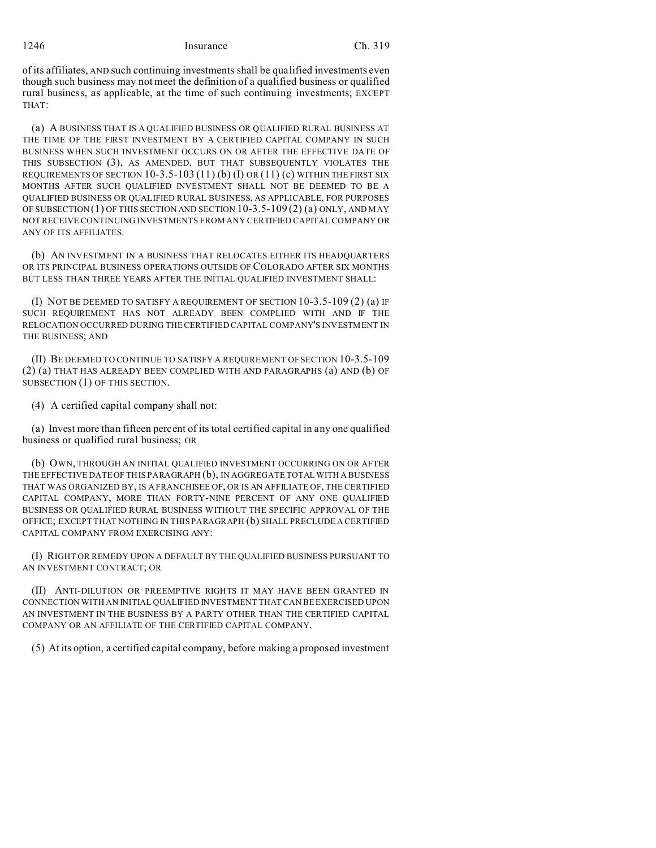1246 Insurance Ch. 319

of its affiliates, AND such continuing investments shall be qualified investments even though such business may not meet the definition of a qualified business or qualified rural business, as applicable, at the time of such continuing investments; EXCEPT THAT:

(a) A BUSINESS THAT IS A QUALIFIED BUSINESS OR QUALIFIED RURAL BUSINESS AT THE TIME OF THE FIRST INVESTMENT BY A CERTIFIED CAPITAL COMPANY IN SUCH BUSINESS WHEN SUCH INVESTMENT OCCURS ON OR AFTER THE EFFECTIVE DATE OF THIS SUBSECTION (3), AS AMENDED, BUT THAT SUBSEQUENTLY VIOLATES THE REQUIREMENTS OF SECTION  $10-3.5-103(11)$  (b)  $(I)$  OR  $(11)$  (c) WITHIN THE FIRST SIX MONTHS AFTER SUCH QUALIFIED INVESTMENT SHALL NOT BE DEEMED TO BE A QUALIFIED BUSINESS OR QUALIFIED RURAL BUSINESS, AS APPLICABLE, FOR PURPOSES OF SUBSECTION (1) OF THIS SECTION AND SECTION 10-3.5-109 (2) (a) ONLY, AND MAY NOT RECEIVE CONTINUING INVESTMENTS FROM ANY CERTIFIED CAPITAL COMPANY OR ANY OF ITS AFFILIATES.

(b) AN INVESTMENT IN A BUSINESS THAT RELOCATES EITHER ITS HEADQUARTERS OR ITS PRINCIPAL BUSINESS OPERATIONS OUTSIDE OF COLORADO AFTER SIX MONTHS BUT LESS THAN THREE YEARS AFTER THE INITIAL QUALIFIED INVESTMENT SHALL:

(I) NOT BE DEEMED TO SATISFY A REQUIREMENT OF SECTION 10-3.5-109 (2) (a) IF SUCH REQUIREMENT HAS NOT ALREADY BEEN COMPLIED WITH AND IF THE RELOCATION OCCURRED DURING THE CERTIFIED CAPITAL COMPANY'S INVESTMENT IN THE BUSINESS; AND

(II) BE DEEMED TO CONTINUE TO SATISFY A REQUIREMENT OF SECTION 10-3.5-109 (2) (a) THAT HAS ALREADY BEEN COMPLIED WITH AND PARAGRAPHS (a) AND (b) OF SUBSECTION (1) OF THIS SECTION.

(4) A certified capital company shall not:

(a) Invest more than fifteen percent of its total certified capital in any one qualified business or qualified rural business; OR

(b) OWN, THROUGH AN INITIAL QUALIFIED INVESTMENT OCCURRING ON OR AFTER THE EFFECTIVE DATE OF THIS PARAGRAPH (b), IN AGGREGATE TOTAL WITH A BUSINESS THAT WAS ORGANIZED BY, IS A FRANCHISEE OF, OR IS AN AFFILIATE OF, THE CERTIFIED CAPITAL COMPANY, MORE THAN FORTY-NINE PERCENT OF ANY ONE QUALIFIED BUSINESS OR QUALIFIED RURAL BUSINESS WITHOUT THE SPECIFIC APPROVAL OF THE OFFICE; EXCEPT THAT NOTHING IN THIS PARAGRAPH (b) SHALL PRECLUDE A CERTIFIED CAPITAL COMPANY FROM EXERCISING ANY:

(I) RIGHT OR REMEDY UPON A DEFAULT BY THE QUALIFIED BUSINESS PURSUANT TO AN INVESTMENT CONTRACT; OR

(II) ANTI-DILUTION OR PREEMPTIVE RIGHTS IT MAY HAVE BEEN GRANTED IN CONNECTION WITH AN INITIAL QUALIFIED INVESTMENT THAT CAN BE EXERCISED UPON AN INVESTMENT IN THE BUSINESS BY A PARTY OTHER THAN THE CERTIFIED CAPITAL COMPANY OR AN AFFILIATE OF THE CERTIFIED CAPITAL COMPANY.

(5) At its option, a certified capital company, before making a proposed investment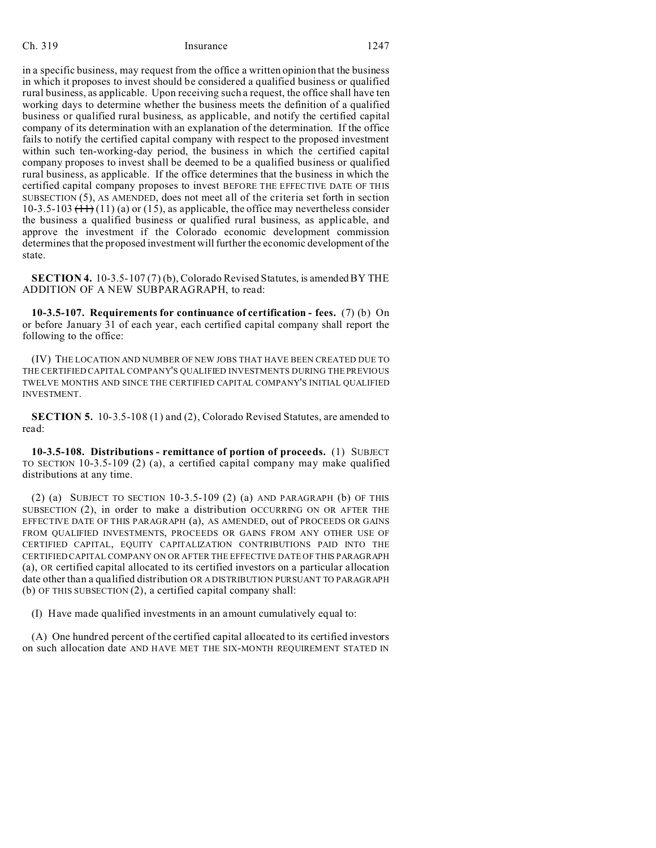### Ch. 319 Insurance 1247

in a specific business, may request from the office a written opinion that the business in which it proposes to invest should be considered a qualified business or qualified rural business, as applicable. Upon receiving such a request, the office shall have ten working days to determine whether the business meets the definition of a qualified business or qualified rural business, as applicable, and notify the certified capital company of its determination with an explanation of the determination. If the office fails to notify the certified capital company with respect to the proposed investment within such ten-working-day period, the business in which the certified capital company proposes to invest shall be deemed to be a qualified business or qualified rural business, as applicable. If the office determines that the business in which the certified capital company proposes to invest BEFORE THE EFFECTIVE DATE OF THIS SUBSECTION (5), AS AMENDED, does not meet all of the criteria set forth in section 10-3.5-103  $(11)(a)$  or (15), as applicable, the office may nevertheless consider the business a qualified business or qualified rural business, as applicable, and approve the investment if the Colorado economic development commission determines that the proposed investment will further the economic development of the state.

**SECTION 4.** 10-3.5-107 (7) (b), Colorado Revised Statutes, is amended BY THE ADDITION OF A NEW SUBPARAGRAPH, to read:

**10-3.5-107. Requirements for continuance of certification - fees.** (7) (b) On or before January 31 of each year, each certified capital company shall report the following to the office:

(IV) THE LOCATION AND NUMBER OF NEW JOBS THAT HAVE BEEN CREATED DUE TO THE CERTIFIED CAPITAL COMPANY'S QUALIFIED INVESTMENTS DURING THE PREVIOUS TWELVE MONTHS AND SINCE THE CERTIFIED CAPITAL COMPANY'S INITIAL QUALIFIED INVESTMENT.

**SECTION 5.** 10-3.5-108 (1) and (2), Colorado Revised Statutes, are amended to read:

**10-3.5-108. Distributions - remittance of portion of proceeds.** (1) SUBJECT TO SECTION 10-3.5-109 (2) (a), a certified capital company may make qualified distributions at any time.

(2) (a) SUBJECT TO SECTION 10-3.5-109 (2) (a) AND PARAGRAPH (b) OF THIS SUBSECTION (2), in order to make a distribution OCCURRING ON OR AFTER THE EFFECTIVE DATE OF THIS PARAGRAPH (a), AS AMENDED, out of PROCEEDS OR GAINS FROM QUALIFIED INVESTMENTS, PROCEEDS OR GAINS FROM ANY OTHER USE OF CERTIFIED CAPITAL, EQUITY CAPITALIZATION CONTRIBUTIONS PAID INTO THE CERTIFIED CAPITAL COMPANY ON OR AFTER THE EFFECTIVE DATE OF THIS PARAGRAPH (a), OR certified capital allocated to its certified investors on a particular allocation date other than a qualified distribution OR A DISTRIBUTION PURSUANT TO PARAGRAPH (b) OF THIS SUBSECTION (2), a certified capital company shall:

(I) Have made qualified investments in an amount cumulatively equal to:

(A) One hundred percent of the certified capital allocated to its certified investors on such allocation date AND HAVE MET THE SIX-MONTH REQUIREMENT STATED IN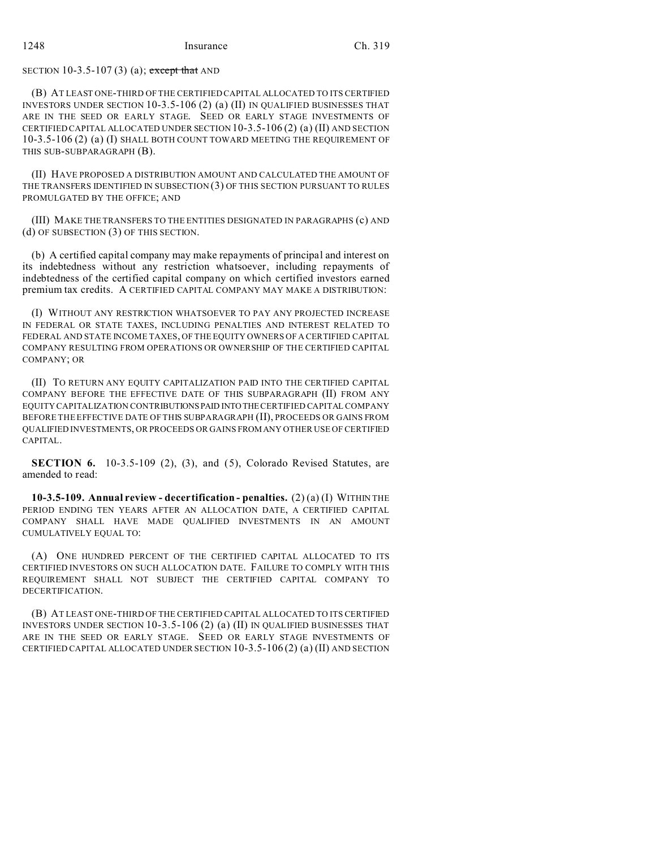# SECTION 10-3.5-107 (3) (a); except that AND

(B) AT LEAST ONE-THIRD OF THE CERTIFIED CAPITAL ALLOCATED TO ITS CERTIFIED INVESTORS UNDER SECTION 10-3.5-106 (2) (a) (II) IN QUALIFIED BUSINESSES THAT ARE IN THE SEED OR EARLY STAGE. SEED OR EARLY STAGE INVESTMENTS OF CERTIFIED CAPITAL ALLOCATED UNDER SECTION 10-3.5-106 (2) (a) (II) AND SECTION 10-3.5-106 (2) (a) (I) SHALL BOTH COUNT TOWARD MEETING THE REQUIREMENT OF THIS SUB-SUBPARAGRAPH (B).

(II) HAVE PROPOSED A DISTRIBUTION AMOUNT AND CALCULATED THE AMOUNT OF THE TRANSFERS IDENTIFIED IN SUBSECTION (3) OF THIS SECTION PURSUANT TO RULES PROMULGATED BY THE OFFICE; AND

(III) MAKE THE TRANSFERS TO THE ENTITIES DESIGNATED IN PARAGRAPHS (c) AND (d) OF SUBSECTION (3) OF THIS SECTION.

(b) A certified capital company may make repayments of principal and interest on its indebtedness without any restriction whatsoever, including repayments of indebtedness of the certified capital company on which certified investors earned premium tax credits. A CERTIFIED CAPITAL COMPANY MAY MAKE A DISTRIBUTION:

(I) WITHOUT ANY RESTRICTION WHATSOEVER TO PAY ANY PROJECTED INCREASE IN FEDERAL OR STATE TAXES, INCLUDING PENALTIES AND INTEREST RELATED TO FEDERAL AND STATE INCOME TAXES, OF THE EQUITY OWNERS OF A CERTIFIED CAPITAL COMPANY RESULTING FROM OPERATIONS OR OWNERSHIP OF THE CERTIFIED CAPITAL COMPANY; OR

(II) TO RETURN ANY EQUITY CAPITALIZATION PAID INTO THE CERTIFIED CAPITAL COMPANY BEFORE THE EFFECTIVE DATE OF THIS SUBPARAGRAPH (II) FROM ANY EQUITY CAPITALIZATION CONTRIBUTIONSPAID INTOTHE CERTIFIED CAPITAL COMPANY BEFORE THE EFFECTIVE DATE OF THIS SUBPARAGRAPH (II), PROCEEDS OR GAINS FROM QUALIFIED INVESTMENTS, OR PROCEEDS OR GAINS FROMANY OTHER USE OF CERTIFIED CAPITAL.

**SECTION 6.** 10-3.5-109 (2), (3), and (5), Colorado Revised Statutes, are amended to read:

**10-3.5-109. Annual review - decertification - penalties.** (2) (a) (I) WITHIN THE PERIOD ENDING TEN YEARS AFTER AN ALLOCATION DATE, A CERTIFIED CAPITAL COMPANY SHALL HAVE MADE QUALIFIED INVESTMENTS IN AN AMOUNT CUMULATIVELY EQUAL TO:

(A) ONE HUNDRED PERCENT OF THE CERTIFIED CAPITAL ALLOCATED TO ITS CERTIFIED INVESTORS ON SUCH ALLOCATION DATE. FAILURE TO COMPLY WITH THIS REQUIREMENT SHALL NOT SUBJECT THE CERTIFIED CAPITAL COMPANY TO DECERTIFICATION.

(B) AT LEAST ONE-THIRD OF THE CERTIFIED CAPITAL ALLOCATED TO ITS CERTIFIED INVESTORS UNDER SECTION 10-3.5-106 (2) (a) (II) IN QUALIFIED BUSINESSES THAT ARE IN THE SEED OR EARLY STAGE. SEED OR EARLY STAGE INVESTMENTS OF CERTIFIED CAPITAL ALLOCATED UNDER SECTION 10-3.5-106 (2) (a) (II) AND SECTION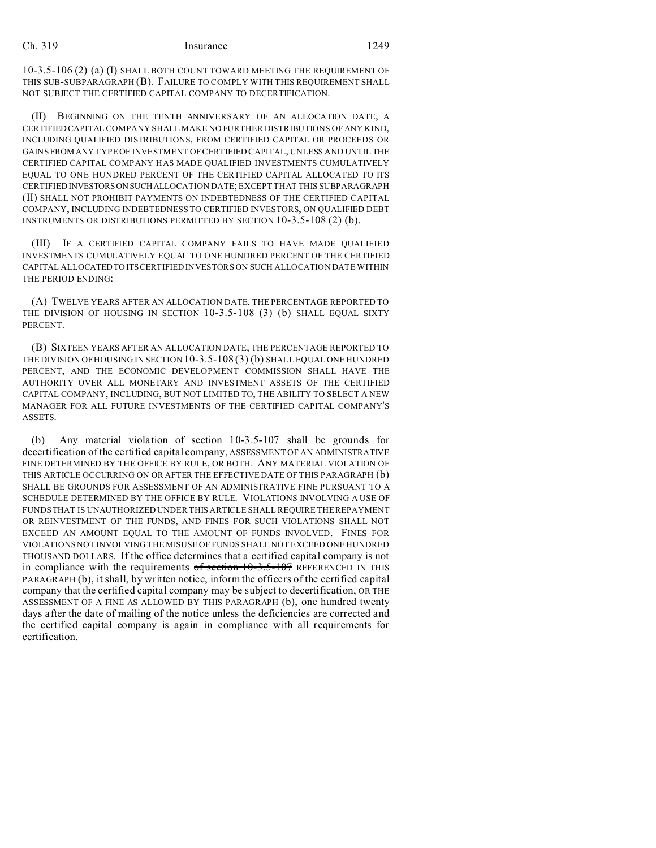#### Ch. 319 Insurance 1249

10-3.5-106 (2) (a) (I) SHALL BOTH COUNT TOWARD MEETING THE REQUIREMENT OF THIS SUB-SUBPARAGRAPH (B). FAILURE TO COMPLY WITH THIS REQUIREMENT SHALL NOT SUBJECT THE CERTIFIED CAPITAL COMPANY TO DECERTIFICATION.

(II) BEGINNING ON THE TENTH ANNIVERSARY OF AN ALLOCATION DATE, A CERTIFIEDCAPITAL COMPANY SHALL MAKE NO FURTHER DISTRIBUTIONS OF ANY KIND, INCLUDING QUALIFIED DISTRIBUTIONS, FROM CERTIFIED CAPITAL OR PROCEEDS OR GAINSFROM ANY TYPE OF INVESTMENT OF CERTIFIED CAPITAL, UNLESS AND UNTIL THE CERTIFIED CAPITAL COMPANY HAS MADE QUALIFIED INVESTMENTS CUMULATIVELY EQUAL TO ONE HUNDRED PERCENT OF THE CERTIFIED CAPITAL ALLOCATED TO ITS CERTIFIEDINVESTORSON SUCHALLOCATION DATE; EXCEPT THAT THIS SUBPARAGRAPH (II) SHALL NOT PROHIBIT PAYMENTS ON INDEBTEDNESS OF THE CERTIFIED CAPITAL COMPANY, INCLUDING INDEBTEDNESS TO CERTIFIED INVESTORS, ON QUALIFIED DEBT INSTRUMENTS OR DISTRIBUTIONS PERMITTED BY SECTION 10-3.5-108 (2) (b).

(III) IF A CERTIFIED CAPITAL COMPANY FAILS TO HAVE MADE QUALIFIED INVESTMENTS CUMULATIVELY EQUAL TO ONE HUNDRED PERCENT OF THE CERTIFIED CAPITAL ALLOCATEDTO ITSCERTIFIED INVESTORS ON SUCH ALLOCATION DATE WITHIN THE PERIOD ENDING:

(A) TWELVE YEARS AFTER AN ALLOCATION DATE, THE PERCENTAGE REPORTED TO THE DIVISION OF HOUSING IN SECTION 10-3.5-108 (3) (b) SHALL EQUAL SIXTY PERCENT.

(B) SIXTEEN YEARS AFTER AN ALLOCATION DATE, THE PERCENTAGE REPORTED TO THE DIVISION OF HOUSING IN SECTION 10-3.5-108 (3) (b) SHALL EQUAL ONE HUNDRED PERCENT, AND THE ECONOMIC DEVELOPMENT COMMISSION SHALL HAVE THE AUTHORITY OVER ALL MONETARY AND INVESTMENT ASSETS OF THE CERTIFIED CAPITAL COMPANY, INCLUDING, BUT NOT LIMITED TO, THE ABILITY TO SELECT A NEW MANAGER FOR ALL FUTURE INVESTMENTS OF THE CERTIFIED CAPITAL COMPANY'S ASSETS.

(b) Any material violation of section 10-3.5-107 shall be grounds for decertification of the certified capital company, ASSESSMENT OF AN ADMINISTRATIVE FINE DETERMINED BY THE OFFICE BY RULE, OR BOTH. ANY MATERIAL VIOLATION OF THIS ARTICLE OCCURRING ON OR AFTER THE EFFECTIVE DATE OF THIS PARAGRAPH (b) SHALL BE GROUNDS FOR ASSESSMENT OF AN ADMINISTRATIVE FINE PURSUANT TO A SCHEDULE DETERMINED BY THE OFFICE BY RULE. VIOLATIONS INVOLVING A USE OF FUNDS THAT IS UNAUTHORIZED UNDER THIS ARTICLE SHALL REQUIRE THE REPAYMENT OR REINVESTMENT OF THE FUNDS, AND FINES FOR SUCH VIOLATIONS SHALL NOT EXCEED AN AMOUNT EQUAL TO THE AMOUNT OF FUNDS INVOLVED. FINES FOR VIOLATIONS NOT INVOLVING THE MISUSE OF FUNDS SHALL NOT EXCEED ONE HUNDRED THOUSAND DOLLARS. If the office determines that a certified capital company is not in compliance with the requirements  $of section 10-3.5-107$  REFERENCED IN THIS PARAGRAPH (b), it shall, by written notice, inform the officers of the certified capital company that the certified capital company may be subject to decertification, OR THE ASSESSMENT OF A FINE AS ALLOWED BY THIS PARAGRAPH (b), one hundred twenty days after the date of mailing of the notice unless the deficiencies are corrected and the certified capital company is again in compliance with all requirements for certification.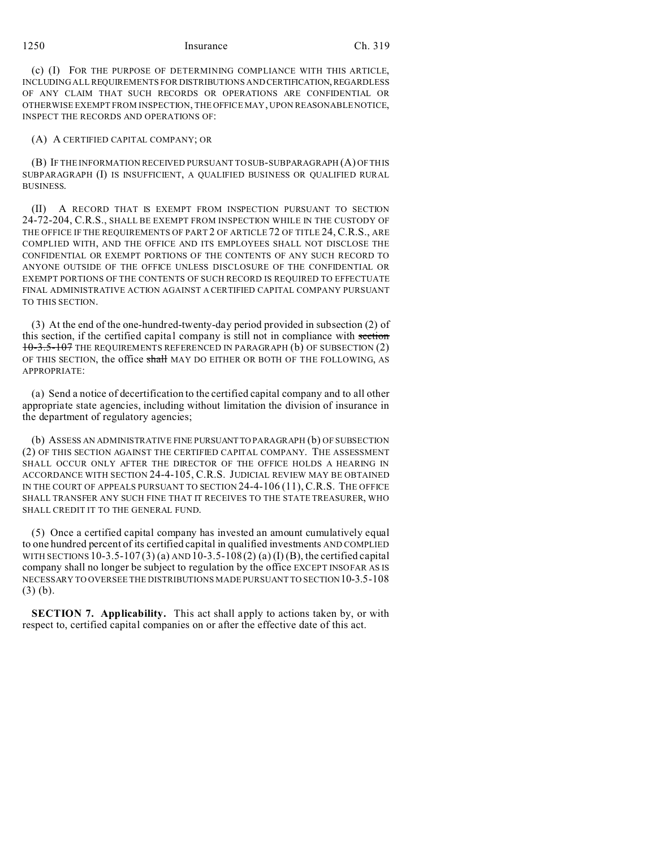1250 Insurance Ch. 319

(c) (I) FOR THE PURPOSE OF DETERMINING COMPLIANCE WITH THIS ARTICLE, INCLUDING ALL REQUIREMENTS FOR DISTRIBUTIONS AND CERTIFICATION, REGARDLESS OF ANY CLAIM THAT SUCH RECORDS OR OPERATIONS ARE CONFIDENTIAL OR OTHERWISE EXEMPT FROM INSPECTION, THE OFFICE MAY, UPON REASONABLE NOTICE, INSPECT THE RECORDS AND OPERATIONS OF:

#### (A) A CERTIFIED CAPITAL COMPANY; OR

(B) IF THE INFORMATION RECEIVED PURSUANT TO SUB-SUBPARAGRAPH (A) OF THIS SUBPARAGRAPH (I) IS INSUFFICIENT, A QUALIFIED BUSINESS OR QUALIFIED RURAL BUSINESS.

(II) A RECORD THAT IS EXEMPT FROM INSPECTION PURSUANT TO SECTION 24-72-204, C.R.S., SHALL BE EXEMPT FROM INSPECTION WHILE IN THE CUSTODY OF THE OFFICE IF THE REQUIREMENTS OF PART 2 OF ARTICLE 72 OF TITLE 24, C.R.S., ARE COMPLIED WITH, AND THE OFFICE AND ITS EMPLOYEES SHALL NOT DISCLOSE THE CONFIDENTIAL OR EXEMPT PORTIONS OF THE CONTENTS OF ANY SUCH RECORD TO ANYONE OUTSIDE OF THE OFFICE UNLESS DISCLOSURE OF THE CONFIDENTIAL OR EXEMPT PORTIONS OF THE CONTENTS OF SUCH RECORD IS REQUIRED TO EFFECTUATE FINAL ADMINISTRATIVE ACTION AGAINST A CERTIFIED CAPITAL COMPANY PURSUANT TO THIS SECTION.

(3) At the end of the one-hundred-twenty-day period provided in subsection (2) of this section, if the certified capital company is still not in compliance with section 10-3.5-107 THE REQUIREMENTS REFERENCED IN PARAGRAPH (b) OF SUBSECTION (2) OF THIS SECTION, the office shall MAY DO EITHER OR BOTH OF THE FOLLOWING, AS APPROPRIATE:

(a) Send a notice of decertification to the certified capital company and to all other appropriate state agencies, including without limitation the division of insurance in the department of regulatory agencies;

(b) ASSESS AN ADMINISTRATIVE FINE PURSUANTTO PARAGRAPH (b) OF SUBSECTION (2) OF THIS SECTION AGAINST THE CERTIFIED CAPITAL COMPANY. THE ASSESSMENT SHALL OCCUR ONLY AFTER THE DIRECTOR OF THE OFFICE HOLDS A HEARING IN ACCORDANCE WITH SECTION 24-4-105, C.R.S. JUDICIAL REVIEW MAY BE OBTAINED IN THE COURT OF APPEALS PURSUANT TO SECTION 24-4-106 (11), C.R.S. THE OFFICE SHALL TRANSFER ANY SUCH FINE THAT IT RECEIVES TO THE STATE TREASURER, WHO SHALL CREDIT IT TO THE GENERAL FUND.

(5) Once a certified capital company has invested an amount cumulatively equal to one hundred percent of its certified capital in qualified investments AND COMPLIED WITH SECTIONS  $10-3.5-107(3)$  (a) AND  $10-3.5-108(2)$  (a) (I) (B), the certified capital company shall no longer be subject to regulation by the office EXCEPT INSOFAR AS IS NECESSARY TO OVERSEE THE DISTRIBUTIONS MADE PURSUANT TO SECTION 10-3.5-108 (3) (b).

**SECTION 7. Applicability.** This act shall apply to actions taken by, or with respect to, certified capital companies on or after the effective date of this act.